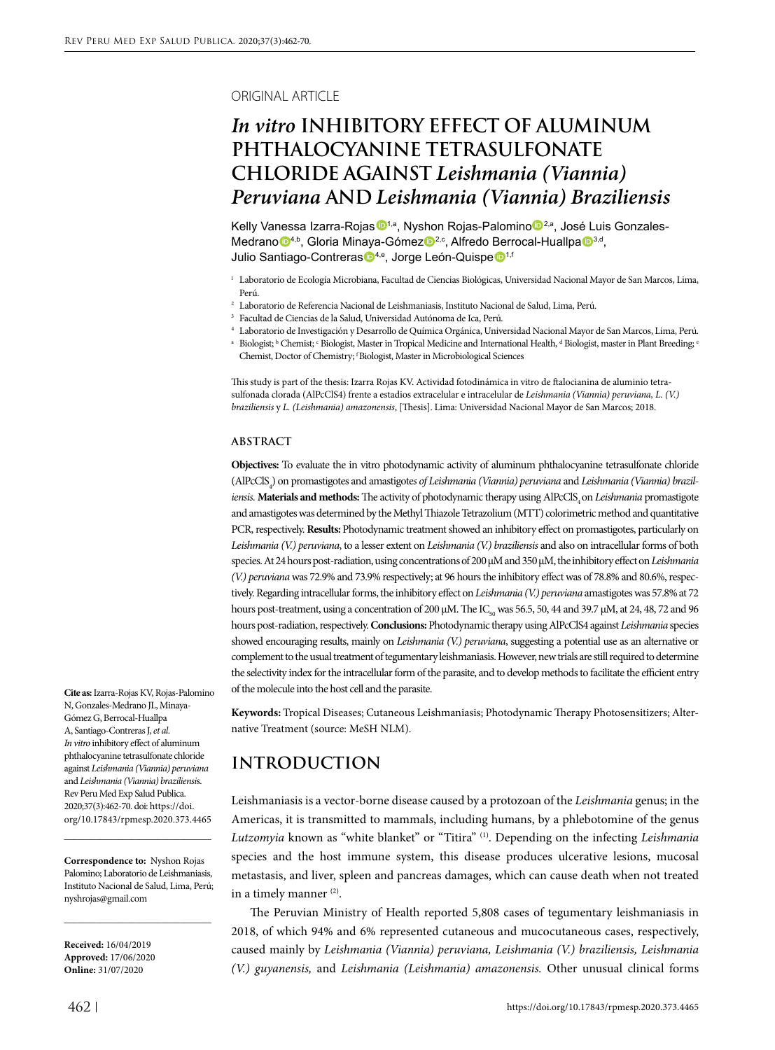#### ORIGINAL ARTICLE

# *In vitro* **INHIBITORY EFFECT OF ALUMINUM PHTHALOCYANINE TETRASULFONATE CHLORIDE AGAINST** *Leishmania (Viannia) Peruviana* **AND** *Leishmania (Viannia) Braziliensis*

Kelly Vanessa Izarra-Rojas <sup>1,a</sup>, Nyshon Rojas-Palomino <sup>2,a</sup>, José Luis Gonzales-Medrano <sup>14,b</sup>, Gloria Minaya-Gómez <sup>2,c</sup>, Alfredo Berrocal-Huallpa <sup>3,d</sup>, Julio Santiago-Contreras <sup>14,e</sup>, Jorge León-Quispe <sup>1,f</sup>

- <sup>1</sup> Laboratorio de Ecología Microbiana, Facultad de Ciencias Biológicas, Universidad Nacional Mayor de San Marcos, Lima, Perú.
- <sup>2</sup> Laboratorio de Referencia Nacional de Leishmaniasis, Instituto Nacional de Salud, Lima, Perú.
- <sup>3</sup> Facultad de Ciencias de la Salud, Universidad Autónoma de Ica, Perú.
- <sup>4</sup> Laboratorio de Investigación y Desarrollo de Química Orgánica, Universidad Nacional Mayor de San Marcos, Lima, Perú.
- $\,^{\rm a} \,$  Biologist;  $^{\rm b}$  Chemist;  $^{\rm c}$  Biologist, Master in Tropical Medicine and International Health,  $^{\rm d}$  Biologist, master in Plant Breeding; ' Chemist, Doctor of Chemistry; f Biologist, Master in Microbiological Sciences

This study is part of the thesis: Izarra Rojas KV. Actividad fotodinámica in vitro de ftalocianina de aluminio tetrasulfonada clorada (AlPcClS4) frente a estadios extracelular e intracelular de *Leishmania (Viannia) peruviana, L. (V.) braziliensis* y *L. (Leishmania) amazonensis*, [Thesis]. Lima: Universidad Nacional Mayor de San Marcos; 2018.

#### **ABSTRACT**

**Objectives:** To evaluate the in vitro photodynamic activity of aluminum phthalocyanine tetrasulfonate chloride (AlPcClS4 ) on promastigotes and amastigote*s of Leishmania (Viannia) peruviana* and *Leishmania (Viannia) braziliensis.* **Materials and methods:** The activity of photodynamic therapy using AlPcClS, on *Leishmania* promastigote and amastigotes was determined by the Methyl Thiazole Tetrazolium (MTT) colorimetric method and quantitative PCR, respectively. **Results:** Photodynamic treatment showed an inhibitory effect on promastigotes, particularly on *Leishmania (V.) peruviana*, to a lesser extent on *Leishmania (V.) braziliensis* and also on intracellular forms of both species. At 24 hours post-radiation, using concentrations of 200 μM and 350 μM, the inhibitory effect on *Leishmania (V.) peruviana* was 72.9% and 73.9% respectively; at 96 hours the inhibitory effect was of 78.8% and 80.6%, respectively. Regarding intracellular forms, the inhibitory effect on *Leishmania (V.) peruviana* amastigotes was 57.8% at 72 hours post-treatment, using a concentration of 200 μM. The IC<sub>50</sub> was 56.5, 50, 44 and 39.7 μM, at 24, 48, 72 and 96 hours post-radiation, respectively. **Conclusions:** Photodynamic therapy using AlPcClS4 against *Leishmania* species showed encouraging results, mainly on *Leishmania (V.) peruviana*, suggesting a potential use as an alternative or complement to the usual treatment of tegumentary leishmaniasis. However, new trials are still required to determine the selectivity index for the intracellular form of the parasite, and to develop methods to facilitate the efficient entry of the molecule into the host cell and the parasite.

**Keywords:** Tropical Diseases; Cutaneous Leishmaniasis; Photodynamic Therapy Photosensitizers; Alternative Treatment (source: MeSH NLM).

## **INTRODUCTION**

Leishmaniasis is a vector-borne disease caused by a protozoan of the *Leishmania* genus; in the Americas, it is transmitted to mammals, including humans, by a phlebotomine of the genus *Lutzomyia* known as "white blanket" or "Titira" (1). Depending on the infecting *Leishmania*  species and the host immune system, this disease produces ulcerative lesions, mucosal metastasis, and liver, spleen and pancreas damages, which can cause death when not treated in a timely manner (2).

The Peruvian Ministry of Health reported 5,808 cases of tegumentary leishmaniasis in 2018, of which 94% and 6% represented cutaneous and mucocutaneous cases, respectively, caused mainly by *Leishmania (Viannia) peruviana, Leishmania (V.) braziliensis, Leishmania (V.) guyanensis,* and *Leishmania (Leishmania) amazonensis.* Other unusual clinical forms

**Cite as:** Izarra-Rojas KV, Rojas-Palomino N, Gonzales-Medrano JL, Minaya-Gómez G, Berrocal-Huallpa A, Santiago-Contreras J, *et al*. *In vitro* inhibitory effect of aluminum phthalocyanine tetrasulfonate chloride against *Leishmania (Viannia) peruviana*  and *Leishmania (Viannia) braziliensi*s. Rev Peru Med Exp Salud Publica. 2020;37(3):462-70. doi: https://doi. org/10.17843/rpmesp.2020.373.4465

**Correspondence to:** Nyshon Rojas Palomino; Laboratorio de Leishmaniasis, Instituto Nacional de Salud, Lima, Perú; [nyshrojas@gmail.com](mailto:nyshrojas@gmail.com)

\_\_\_\_\_\_\_\_\_\_\_\_\_\_\_\_\_\_\_\_\_\_\_\_\_\_\_\_\_\_\_\_\_

\_\_\_\_\_\_\_\_\_\_\_\_\_\_\_\_\_\_\_\_\_\_\_\_\_\_\_\_\_\_\_\_\_

**Received:** 16/04/2019 **Approved:** 17/06/2020 **Online:** 31/07/2020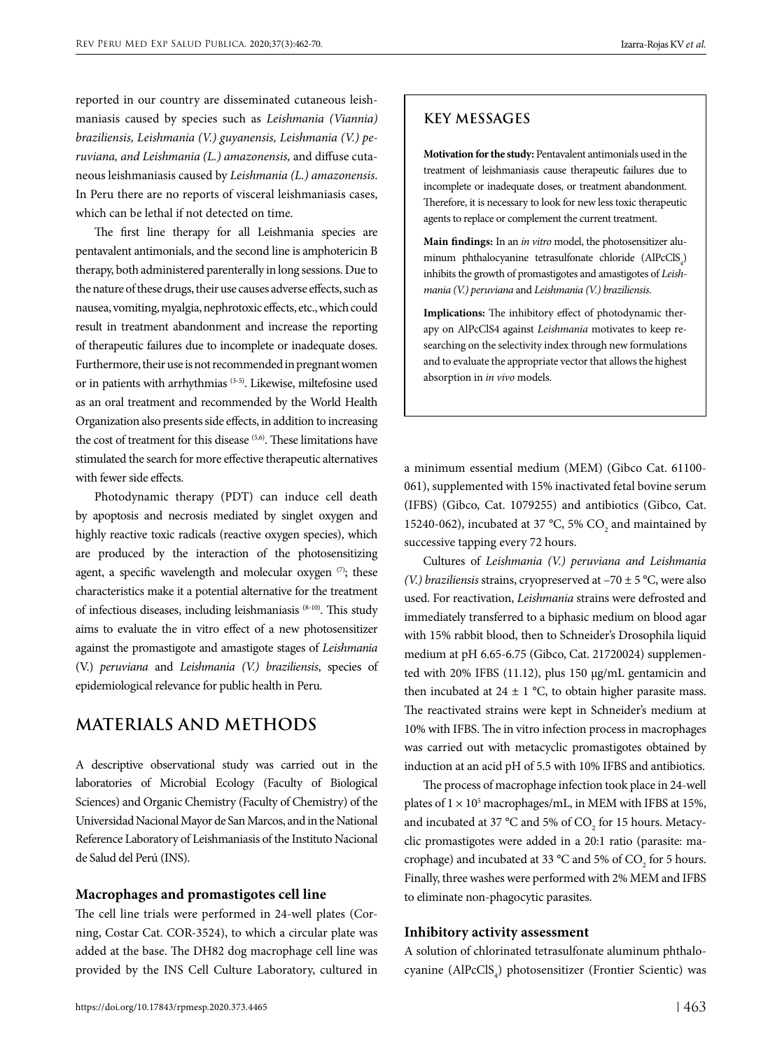reported in our country are disseminated cutaneous leishmaniasis caused by species such as *Leishmania (Viannia) braziliensis, Leishmania (V.) guyanensis, Leishmania (V.) peruviana, and Leishmania (L.) amazonensis,* and diffuse cutaneous leishmaniasis caused by *Leishmania (L.) amazonensis*. In Peru there are no reports of visceral leishmaniasis cases, which can be lethal if not detected on time.

The first line therapy for all Leishmania species are pentavalent antimonials, and the second line is amphotericin B therapy, both administered parenterally in long sessions. Due to the nature of these drugs, their use causes adverse effects, such as nausea, vomiting, myalgia, nephrotoxic effects, etc., which could result in treatment abandonment and increase the reporting of therapeutic failures due to incomplete or inadequate doses. Furthermore, their use is not recommended in pregnant women or in patients with arrhythmias (3-5). Likewise, miltefosine used as an oral treatment and recommended by the World Health Organization also presents side effects, in addition to increasing the cost of treatment for this disease (5,6). These limitations have stimulated the search for more effective therapeutic alternatives with fewer side effects.

Photodynamic therapy (PDT) can induce cell death by apoptosis and necrosis mediated by singlet oxygen and highly reactive toxic radicals (reactive oxygen species), which are produced by the interaction of the photosensitizing agent, a specific wavelength and molecular oxygen  $(7)$ ; these characteristics make it a potential alternative for the treatment of infectious diseases, including leishmaniasis (8-10). This study aims to evaluate the in vitro effect of a new photosensitizer against the promastigote and amastigote stages of *Leishmania*  (V.) *peruviana* and *Leishmania (V.) braziliensis*, species of epidemiological relevance for public health in Peru.

### **MATERIALS AND METHODS**

A descriptive observational study was carried out in the laboratories of Microbial Ecology (Faculty of Biological Sciences) and Organic Chemistry (Faculty of Chemistry) of the Universidad Nacional Mayor de San Marcos, and in the National Reference Laboratory of Leishmaniasis of the Instituto Nacional de Salud del Perú (INS).

#### **Macrophages and promastigotes cell line**

The cell line trials were performed in 24-well plates (Corning, Costar Cat. COR-3524), to which a circular plate was added at the base. The DH82 dog macrophage cell line was provided by the INS Cell Culture Laboratory, cultured in

### **KEY MESSAGES**

**Motivation for the study:** Pentavalent antimonials used in the treatment of leishmaniasis cause therapeutic failures due to incomplete or inadequate doses, or treatment abandonment. Therefore, it is necessary to look for new less toxic therapeutic agents to replace or complement the current treatment.

**Main findings:** In an *in vitro* model, the photosensitizer aluminum phthalocyanine tetrasulfonate chloride  $(AIPcCIS_4)$ inhibits the growth of promastigotes and amastigotes of *Leishmania (V.) peruviana* and *Leishmania (V.) braziliensis.*

**Implications:** The inhibitory effect of photodynamic therapy on AlPcClS4 against *Leishmania* motivates to keep researching on the selectivity index through new formulations and to evaluate the appropriate vector that allows the highest absorption in *in vivo* models.

a minimum essential medium (MEM) (Gibco Cat. 61100- 061), supplemented with 15% inactivated fetal bovine serum (IFBS) (Gibco, Cat. 1079255) and antibiotics (Gibco, Cat. 15240-062), incubated at 37 °C, 5%  $CO_2$  and maintained by successive tapping every 72 hours.

Cultures of *Leishmania (V.) peruviana and Leishmania (V.) braziliensis* strains, cryopreserved at –70 ± 5 °C, were also used. For reactivation, *Leishmania* strains were defrosted and immediately transferred to a biphasic medium on blood agar with 15% rabbit blood, then to Schneider's Drosophila liquid medium at pH 6.65-6.75 (Gibco, Cat. 21720024) supplemented with 20% IFBS (11.12), plus 150 µg/mL gentamicin and then incubated at  $24 \pm 1$  °C, to obtain higher parasite mass. The reactivated strains were kept in Schneider's medium at 10% with IFBS. The in vitro infection process in macrophages was carried out with metacyclic promastigotes obtained by induction at an acid pH of 5.5 with 10% IFBS and antibiotics.

The process of macrophage infection took place in 24-well plates of  $1 \times 10^5$  macrophages/mL, in MEM with IFBS at 15%, and incubated at 37 °C and 5% of  $CO<sub>2</sub>$  for 15 hours. Metacyclic promastigotes were added in a 20:1 ratio (parasite: macrophage) and incubated at 33 °C and 5% of  $CO_2$  for 5 hours. Finally, three washes were performed with 2% MEM and IFBS to eliminate non-phagocytic parasites.

#### **Inhibitory activity assessment**

A solution of chlorinated tetrasulfonate aluminum phthalocyanine (AlPcClS<sub>4</sub>) photosensitizer (Frontier Scientic) was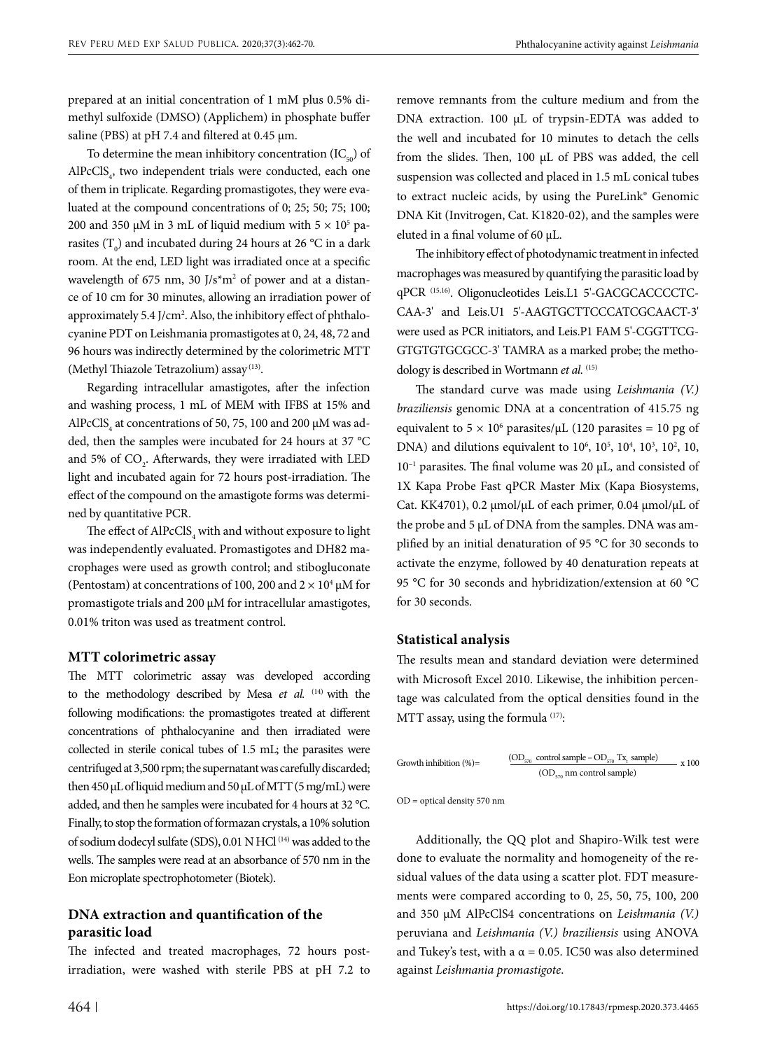prepared at an initial concentration of 1 mM plus 0.5% dimethyl sulfoxide (DMSO) (Applichem) in phosphate buffer saline (PBS) at  $pH$  7.4 and filtered at 0.45  $\mu$ m.

To determine the mean inhibitory concentration  $(IC_{50})$  of  $AIPcCIS<sub>4</sub>$ , two independent trials were conducted, each one of them in triplicate. Regarding promastigotes, they were evaluated at the compound concentrations of 0; 25; 50; 75; 100; 200 and 350 μM in 3 mL of liquid medium with  $5 \times 10^5$  parasites (T<sub>0</sub>) and incubated during 24 hours at 26 °C in a dark room. At the end, LED light was irradiated once at a specific wavelength of 675 nm, 30  $J/s<sup>*</sup>m<sup>2</sup>$  of power and at a distance of 10 cm for 30 minutes, allowing an irradiation power of approximately 5.4 J/cm<sup>2</sup>. Also, the inhibitory effect of phthalocyanine PDT on Leishmania promastigotes at 0, 24, 48, 72 and 96 hours was indirectly determined by the colorimetric MTT (Methyl Thiazole Tetrazolium) assay (13).

Regarding intracellular amastigotes, after the infection and washing process, 1 mL of MEM with IFBS at 15% and AlPcClS<sub>4</sub> at concentrations of 50, 75, 100 and 200  $\mu$ M was added, then the samples were incubated for 24 hours at 37 °C and 5% of  $\text{CO}_2$ . Afterwards, they were irradiated with LED light and incubated again for 72 hours post-irradiation. The effect of the compound on the amastigote forms was determined by quantitative PCR.

The effect of  $\mathrm{AlPcClS}_4$  with and without exposure to light was independently evaluated. Promastigotes and DH82 macrophages were used as growth control; and stibogluconate (Pentostam) at concentrations of 100, 200 and  $2 \times 10^4$  µM for promastigote trials and 200 μM for intracellular amastigotes, 0.01% triton was used as treatment control.

#### **MTT colorimetric assay**

The MTT colorimetric assay was developed according to the methodology described by Mesa et al. <sup>(14)</sup> with the following modifications: the promastigotes treated at different concentrations of phthalocyanine and then irradiated were collected in sterile conical tubes of 1.5 mL; the parasites were centrifuged at 3,500 rpm; the supernatant was carefully discarded; then 450 μL of liquid medium and 50 μL of MTT (5 mg/mL) were added, and then he samples were incubated for 4 hours at 32 °C. Finally, to stop the formation of formazan crystals, a 10% solution of sodium dodecyl sulfate (SDS), 0.01 N HCl (14) was added to the wells. The samples were read at an absorbance of 570 nm in the Eon microplate spectrophotometer (Biotek).

### **DNA extraction and quantification of the parasitic load**

The infected and treated macrophages, 72 hours postirradiation, were washed with sterile PBS at pH 7.2 to

remove remnants from the culture medium and from the DNA extraction. 100 μL of trypsin-EDTA was added to the well and incubated for 10 minutes to detach the cells from the slides. Then, 100 μL of PBS was added, the cell suspension was collected and placed in 1.5 mL conical tubes to extract nucleic acids, by using the PureLink® Genomic DNA Kit (Invitrogen, Cat. K1820-02), and the samples were eluted in a final volume of 60 μL.

The inhibitory effect of photodynamic treatment in infected macrophages was measured by quantifying the parasitic load by qPCR (15,16). Oligonucleotides Leis.L1 5'-GACGCACCCCTC-CAA-3' and Leis.U1 5'-AAGTGCTTCCCATCGCAACT-3' were used as PCR initiators, and Leis.P1 FAM 5'-CGGTTCG-GTGTGTGCGCC-3' TAMRA as a marked probe; the methodology is described in Wortmann et al. <sup>(15)</sup>

The standard curve was made using *Leishmania (V.) braziliensis* genomic DNA at a concentration of 415.75 ng equivalent to  $5 \times 10^6$  parasites/ $\mu$ L (120 parasites = 10 pg of DNA) and dilutions equivalent to  $10^6$ ,  $10^5$ ,  $10^4$ ,  $10^3$ ,  $10^2$ ,  $10$ ,  $10^{-1}$  parasites. The final volume was 20  $\mu$ L, and consisted of 1X Kapa Probe Fast qPCR Master Mix (Kapa Biosystems, Cat. KK4701), 0.2 µmol/µL of each primer, 0.04 µmol/µL of the probe and 5 µL of DNA from the samples. DNA was amplified by an initial denaturation of 95 °C for 30 seconds to activate the enzyme, followed by 40 denaturation repeats at 95 °C for 30 seconds and hybridization/extension at 60 °C for 30 seconds.

#### **Statistical analysis**

The results mean and standard deviation were determined with Microsoft Excel 2010. Likewise, the inhibition percentage was calculated from the optical densities found in the MTT assay, using the formula <sup>(17)</sup>:

Growth inhibition (%) = 
$$
\frac{\text{(OD}_{570} \text{ control sample} - \text{OD}_{570} \text{ Tx}_1 \text{ sample})}{\text{(OD}_{570} \text{ nm control sample)}} \times 100
$$

OD = optical density 570 nm

Additionally, the QQ plot and Shapiro-Wilk test were done to evaluate the normality and homogeneity of the residual values of the data using a scatter plot. FDT measurements were compared according to 0, 25, 50, 75, 100, 200 and 350 µM AlPcClS4 concentrations on *Leishmania (V.)*  peruviana and *Leishmania (V.) braziliensis* using ANOVA and Tukey's test, with a  $\alpha$  = 0.05. IC50 was also determined against *Leishmania promastigote*.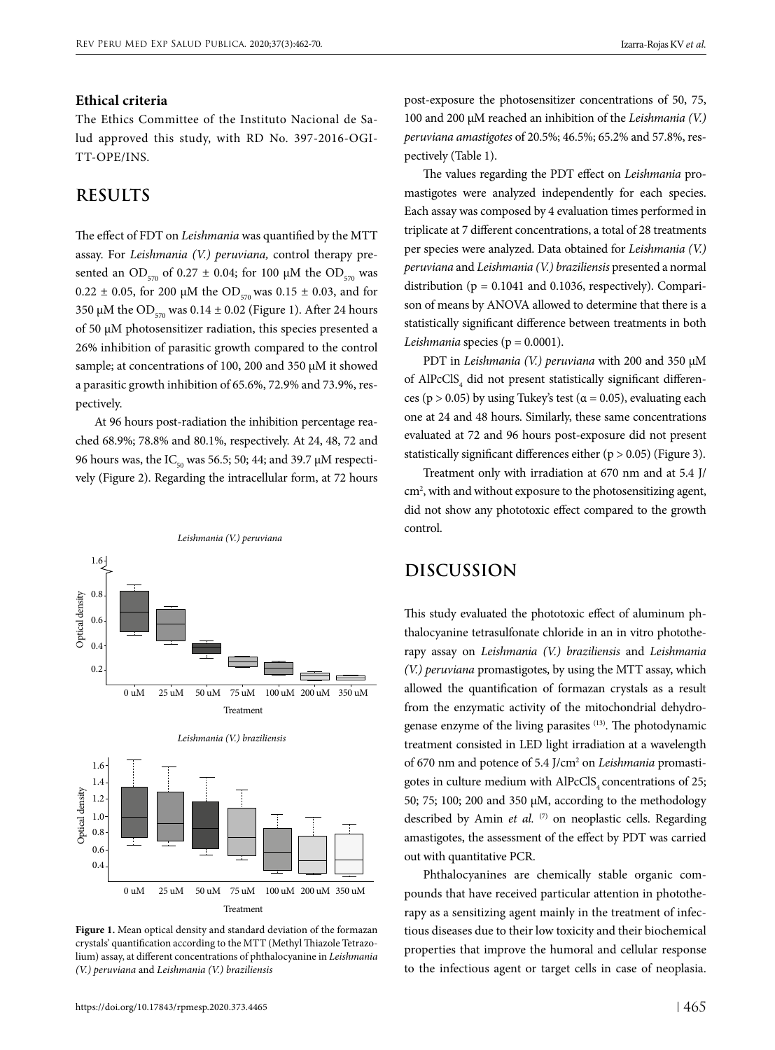### **Ethical criteria**

The Ethics Committee of the Instituto Nacional de Salud approved this study, with RD No. 397-2016-OGI-TT-OPE/INS.

## **RESULTS**

The effect of FDT on *Leishmania* was quantified by the MTT assay. For *Leishmania (V.) peruviana,* control therapy presented an OD<sub>570</sub> of 0.27  $\pm$  0.04; for 100 µM the OD<sub>570</sub> was 0.22  $\pm$  0.05, for 200 µM the OD<sub>570</sub> was 0.15  $\pm$  0.03, and for 350 µM the OD<sub>570</sub> was  $0.14 \pm 0.02$  (Figure 1). After 24 hours of 50 µM photosensitizer radiation, this species presented a 26% inhibition of parasitic growth compared to the control sample; at concentrations of 100, 200 and 350 µM it showed a parasitic growth inhibition of 65.6%, 72.9% and 73.9%, respectively.

At 96 hours post-radiation the inhibition percentage reached 68.9%; 78.8% and 80.1%, respectively. At 24, 48, 72 and 96 hours was, the IC<sub>50</sub> was 56.5; 50; 44; and 39.7  $\mu$ M respectively (Figure 2). Regarding the intracellular form, at 72 hours



**Figure 1.** Mean optical density and standard deviation of the formazan crystals' quantification according to the MTT (Methyl Thiazole Tetrazolium) assay, at different concentrations of phthalocyanine in *Leishmania (V.) peruviana* and *Leishmania (V.) braziliensis*

post-exposure the photosensitizer concentrations of 50, 75, 100 and 200 µM reached an inhibition of the *Leishmania (V.) peruviana amastigotes* of 20.5%; 46.5%; 65.2% and 57.8%, respectively (Table 1).

The values regarding the PDT effect on *Leishmania* promastigotes were analyzed independently for each species. Each assay was composed by 4 evaluation times performed in triplicate at 7 different concentrations, a total of 28 treatments per species were analyzed. Data obtained for *Leishmania (V.) peruviana* and *Leishmania (V.) braziliensis* presented a normal distribution ( $p = 0.1041$  and 0.1036, respectively). Comparison of means by ANOVA allowed to determine that there is a statistically significant difference between treatments in both *Leishmania* species ( $p = 0.0001$ ).

PDT in *Leishmania (V.) peruviana* with 200 and 350 µM of  $\mathrm{AlP}\text{c} \mathrm{Cl}\text{S}_4$  did not present statistically significant differences (p > 0.05) by using Tukey's test ( $\alpha$  = 0.05), evaluating each one at 24 and 48 hours. Similarly, these same concentrations evaluated at 72 and 96 hours post-exposure did not present statistically significant differences either  $(p > 0.05)$  (Figure 3).

Treatment only with irradiation at 670 nm and at 5.4 J/ cm2 , with and without exposure to the photosensitizing agent, did not show any phototoxic effect compared to the growth control.

## **DISCUSSION**

This study evaluated the phototoxic effect of aluminum phthalocyanine tetrasulfonate chloride in an in vitro phototherapy assay on *Leishmania (V.) braziliensis* and *Leishmania (V.) peruviana* promastigotes, by using the MTT assay, which allowed the quantification of formazan crystals as a result from the enzymatic activity of the mitochondrial dehydrogenase enzyme of the living parasites (13). The photodynamic treatment consisted in LED light irradiation at a wavelength of 670 nm and potence of 5.4 J/cm2 on *Leishmania* promastigotes in culture medium with AlPcClS<sub>4</sub> concentrations of 25; 50; 75; 100; 200 and 350 µM, according to the methodology described by Amin *et al.* (7) on neoplastic cells. Regarding amastigotes, the assessment of the effect by PDT was carried out with quantitative PCR.

Phthalocyanines are chemically stable organic compounds that have received particular attention in phototherapy as a sensitizing agent mainly in the treatment of infectious diseases due to their low toxicity and their biochemical properties that improve the humoral and cellular response to the infectious agent or target cells in case of neoplasia.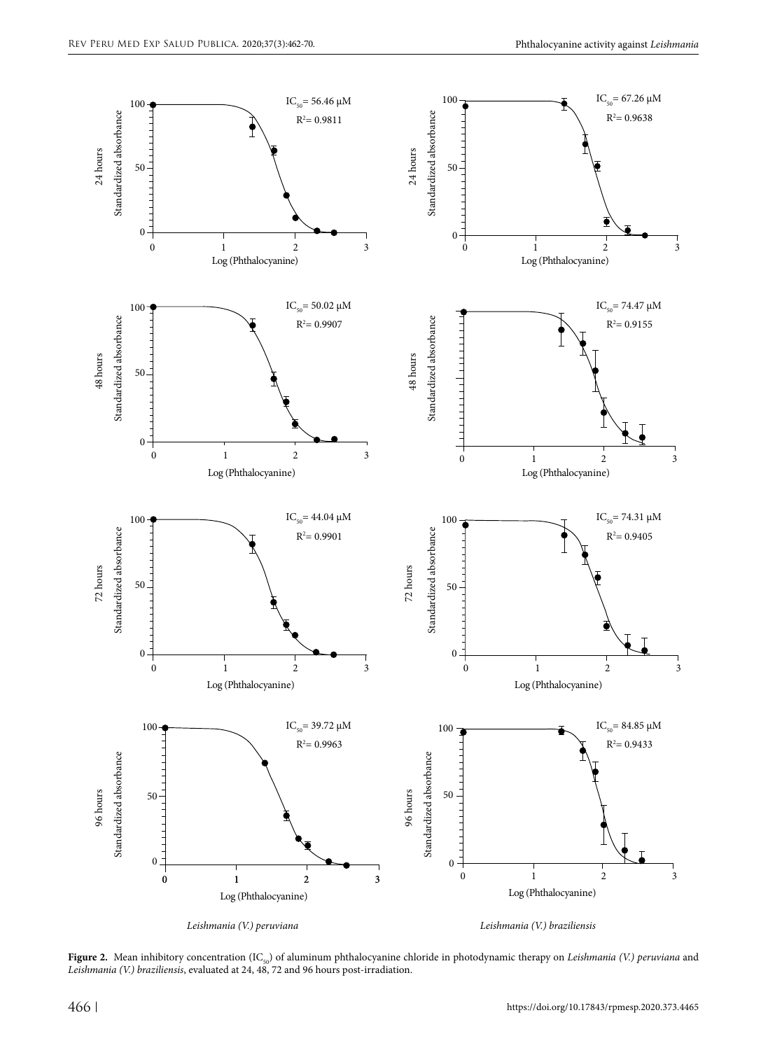

**Figure 2.** Mean inhibitory concentration (IC<sub>50</sub>) of aluminum phthalocyanine chloride in photodynamic therapy on *Leishmania (V.) peruviana* and *Leishmania (V.) braziliensis*, evaluated at 24, 48, 72 and 96 hours post-irradiation.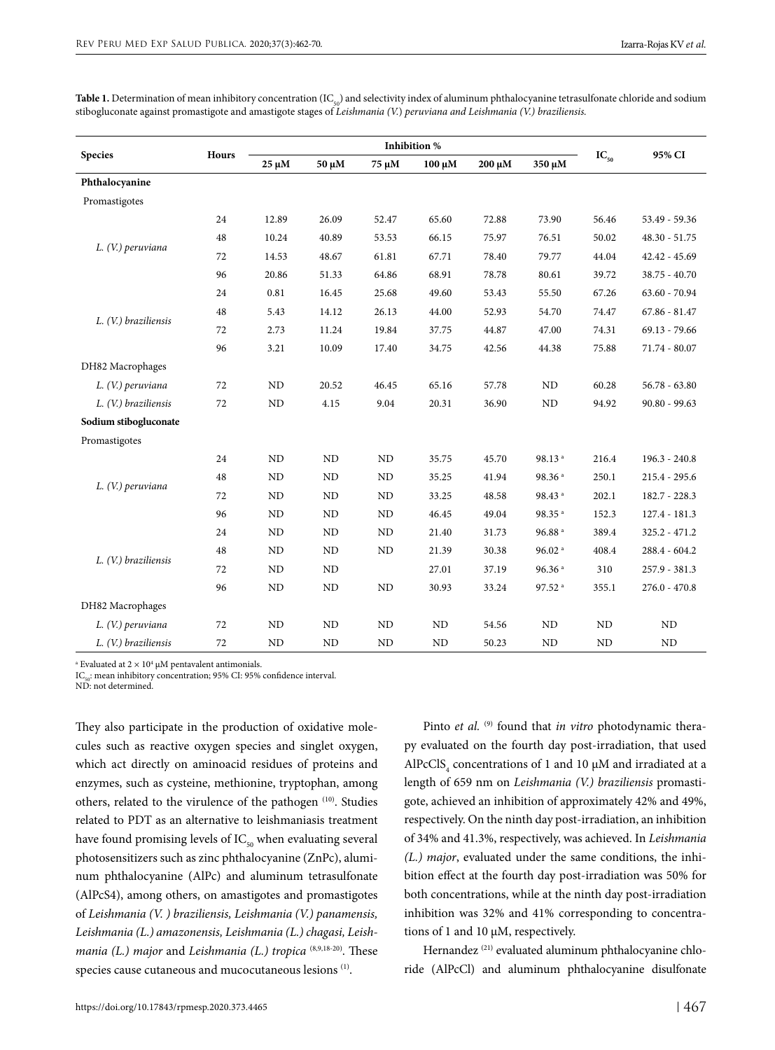| Table 1. Determination of mean inhibitory concentration (IC $_{\varsigma_0}$ ) and selectivity index of aluminum phthalocyanine tetrasulfonate chloride and sodium |
|--------------------------------------------------------------------------------------------------------------------------------------------------------------------|
| stibogluconate against promastigote and amastigote stages of Leishmania (V.) peruviana and Leishmania (V.) braziliensis.                                           |
|                                                                                                                                                                    |

| <b>Species</b>        | Hours | <b>Inhibition %</b> |                |           |             |        |                      |                       |                 |
|-----------------------|-------|---------------------|----------------|-----------|-------------|--------|----------------------|-----------------------|-----------------|
|                       |       | $25~\mu{\rm M}$     | 50 µM          | 75 μM     | $100 \mu M$ | 200 μM | 350 μM               | $\mathbf{IC}_{_{50}}$ | 95% CI          |
| Phthalocyanine        |       |                     |                |           |             |        |                      |                       |                 |
| Promastigotes         |       |                     |                |           |             |        |                      |                       |                 |
| L. (V.) peruviana     | 24    | 12.89               | 26.09          | 52.47     | 65.60       | 72.88  | 73.90                | 56.46                 | 53.49 - 59.36   |
|                       | 48    | 10.24               | 40.89          | 53.53     | 66.15       | 75.97  | 76.51                | 50.02                 | $48.30 - 51.75$ |
|                       | 72    | 14.53               | 48.67          | 61.81     | 67.71       | 78.40  | 79.77                | 44.04                 | $42.42 - 45.69$ |
|                       | 96    | 20.86               | 51.33          | 64.86     | 68.91       | 78.78  | 80.61                | 39.72                 | $38.75 - 40.70$ |
| L. (V.) braziliensis  | 24    | 0.81                | 16.45          | 25.68     | 49.60       | 53.43  | 55.50                | 67.26                 | $63.60 - 70.94$ |
|                       | 48    | 5.43                | 14.12          | 26.13     | 44.00       | 52.93  | 54.70                | 74.47                 | $67.86 - 81.47$ |
|                       | 72    | 2.73                | 11.24          | 19.84     | 37.75       | 44.87  | 47.00                | 74.31                 | $69.13 - 79.66$ |
|                       | 96    | 3.21                | 10.09          | 17.40     | 34.75       | 42.56  | 44.38                | 75.88                 | 71.74 - 80.07   |
| DH82 Macrophages      |       |                     |                |           |             |        |                      |                       |                 |
| L. (V.) peruviana     | 72    | ND                  | 20.52          | 46.45     | 65.16       | 57.78  | ND                   | 60.28                 | $56.78 - 63.80$ |
| L. (V.) braziliensis  | 72    | ND                  | 4.15           | 9.04      | 20.31       | 36.90  | ND                   | 94.92                 | $90.80 - 99.63$ |
| Sodium stibogluconate |       |                     |                |           |             |        |                      |                       |                 |
| Promastigotes         |       |                     |                |           |             |        |                      |                       |                 |
| L. (V.) peruviana     | 24    | <b>ND</b>           | ND             | ND        | 35.75       | 45.70  | 98.13 <sup>a</sup>   | 216.4                 | $196.3 - 240.8$ |
|                       | 48    | <b>ND</b>           | <b>ND</b>      | <b>ND</b> | 35.25       | 41.94  | 98.36 <sup>a</sup>   | 250.1                 | $215.4 - 295.6$ |
|                       | 72    | <b>ND</b>           | ND             | <b>ND</b> | 33.25       | 48.58  | 98.43 <sup>a</sup>   | 202.1                 | $182.7 - 228.3$ |
|                       | 96    | <b>ND</b>           | N <sub>D</sub> | <b>ND</b> | 46.45       | 49.04  | 98.35 <sup>a</sup>   | 152.3                 | $127.4 - 181.3$ |
| L. (V.) braziliensis  | 24    | <b>ND</b>           | N <sub>D</sub> | ND        | 21.40       | 31.73  | $96.88$ <sup>a</sup> | 389.4                 | $325.2 - 471.2$ |
|                       | 48    | ND                  | <b>ND</b>      | <b>ND</b> | 21.39       | 30.38  | $96.02$ <sup>a</sup> | 408.4                 | 288.4 - 604.2   |
|                       | 72    | <b>ND</b>           | ND             |           | 27.01       | 37.19  | $96.36$ <sup>a</sup> | 310                   | 257.9 - 381.3   |
|                       | 96    | <b>ND</b>           | ND             | ND        | 30.93       | 33.24  | 97.52 <sup>a</sup>   | 355.1                 | $276.0 - 470.8$ |
| DH82 Macrophages      |       |                     |                |           |             |        |                      |                       |                 |
| L. (V.) peruviana     | 72    | <b>ND</b>           | ND             | <b>ND</b> | ND          | 54.56  | ND                   | <b>ND</b>             | ND              |
| L. (V.) braziliensis  | 72    | <b>ND</b>           | <b>ND</b>      | <b>ND</b> | <b>ND</b>   | 50.23  | <b>ND</b>            | <b>ND</b>             | <b>ND</b>       |

<sup>a</sup> Evaluated at  $2 \times 10^4$  µM pentavalent antimonials.

 $IC_{50}$ : mean inhibitory concentration; 95% CI: 95% confidence interval.

ND: not determined.

They also participate in the production of oxidative molecules such as reactive oxygen species and singlet oxygen, which act directly on aminoacid residues of proteins and enzymes, such as cysteine, methionine, tryptophan, among others, related to the virulence of the pathogen (10). Studies related to PDT as an alternative to leishmaniasis treatment have found promising levels of  $IC_{50}$  when evaluating several photosensitizers such as zinc phthalocyanine (ZnPc), aluminum phthalocyanine (AlPc) and aluminum tetrasulfonate (AlPcS4), among others, on amastigotes and promastigotes of *Leishmania (V. ) braziliensis, Leishmania (V.) panamensis, Leishmania (L.) amazonensis, Leishmania (L.) chagasi, Leishmania (L.) major and Leishmania (L.) tropica* <sup>(8,9,18-20)</sup>. These species cause cutaneous and mucocutaneous lesions (1).

Pinto *et al.* <sup>(9)</sup> found that *in vitro* photodynamic therapy evaluated on the fourth day post-irradiation, that used AlPcClS<sub>4</sub> concentrations of 1 and 10  $\mu$ M and irradiated at a length of 659 nm on *Leishmania (V.) braziliensis* promastigote, achieved an inhibition of approximately 42% and 49%, respectively. On the ninth day post-irradiation, an inhibition of 34% and 41.3%, respectively, was achieved. In *Leishmania (L.) major*, evaluated under the same conditions, the inhibition effect at the fourth day post-irradiation was 50% for both concentrations, while at the ninth day post-irradiation inhibition was 32% and 41% corresponding to concentrations of 1 and 10 μM, respectively.

Hernandez<sup>(21)</sup> evaluated aluminum phthalocyanine chloride (AlPcCl) and aluminum phthalocyanine disulfonate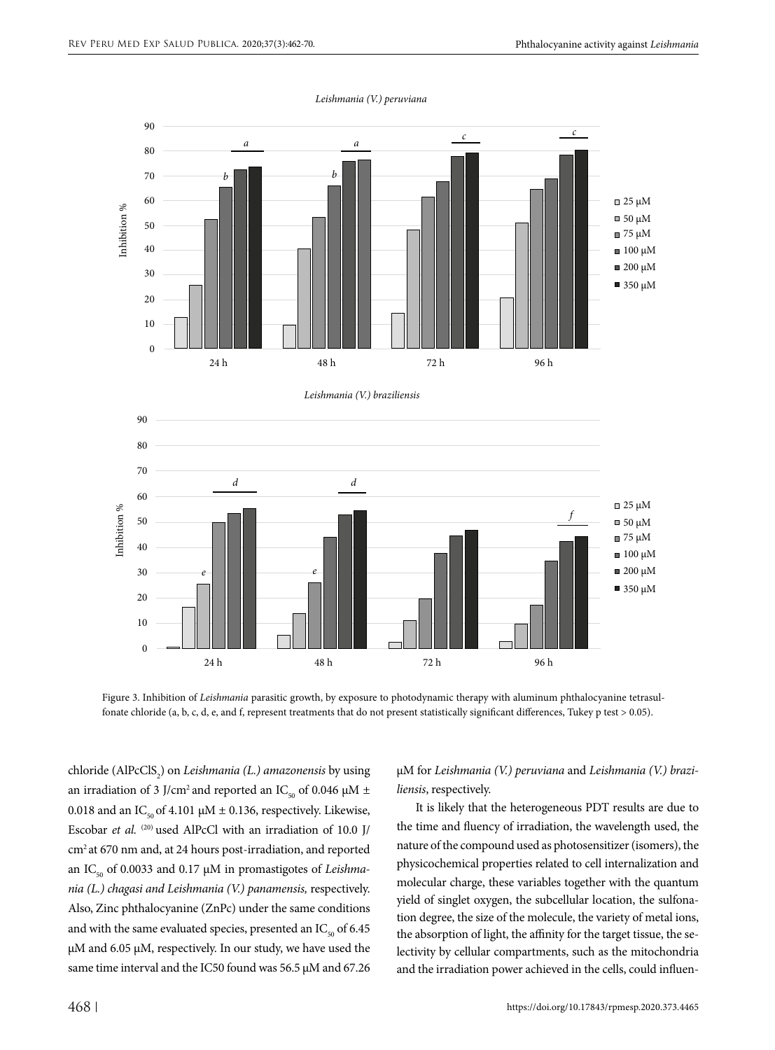

*Leishmania (V.) peruviana*

Figure 3. Inhibition of *Leishmania* parasitic growth, by exposure to photodynamic therapy with aluminum phthalocyanine tetrasulfonate chloride (a, b, c, d, e, and f, represent treatments that do not present statistically significant differences, Tukey p test > 0.05).

chloride (AlPcClS2 ) on *Leishmania (L.) amazonensis* by using an irradiation of 3 J/cm<sup>2</sup> and reported an IC<sub>50</sub> of 0.046  $\mu$ M ± 0.018 and an IC<sub>50</sub> of 4.101  $\mu$ M ± 0.136, respectively. Likewise, Escobar *et al.* <sup>(20)</sup> used AlPcCl with an irradiation of 10.0 J/ cm2 at 670 nm and, at 24 hours post-irradiation, and reported an IC<sub>50</sub> of 0.0033 and 0.17 μM in promastigotes of *Leishmania (L.) chagasi and Leishmania (V.) panamensis,* respectively. Also, Zinc phthalocyanine (ZnPc) under the same conditions and with the same evaluated species, presented an  $IC_{50}$  of 6.45 μM and 6.05 μM, respectively. In our study, we have used the same time interval and the IC50 found was 56.5  $\mu$ M and 67.26

µM for *Leishmania (V.) peruviana* and *Leishmania (V.) braziliensis*, respectively.

It is likely that the heterogeneous PDT results are due to the time and fluency of irradiation, the wavelength used, the nature of the compound used as photosensitizer (isomers), the physicochemical properties related to cell internalization and molecular charge, these variables together with the quantum yield of singlet oxygen, the subcellular location, the sulfonation degree, the size of the molecule, the variety of metal ions, the absorption of light, the affinity for the target tissue, the selectivity by cellular compartments, such as the mitochondria and the irradiation power achieved in the cells, could influen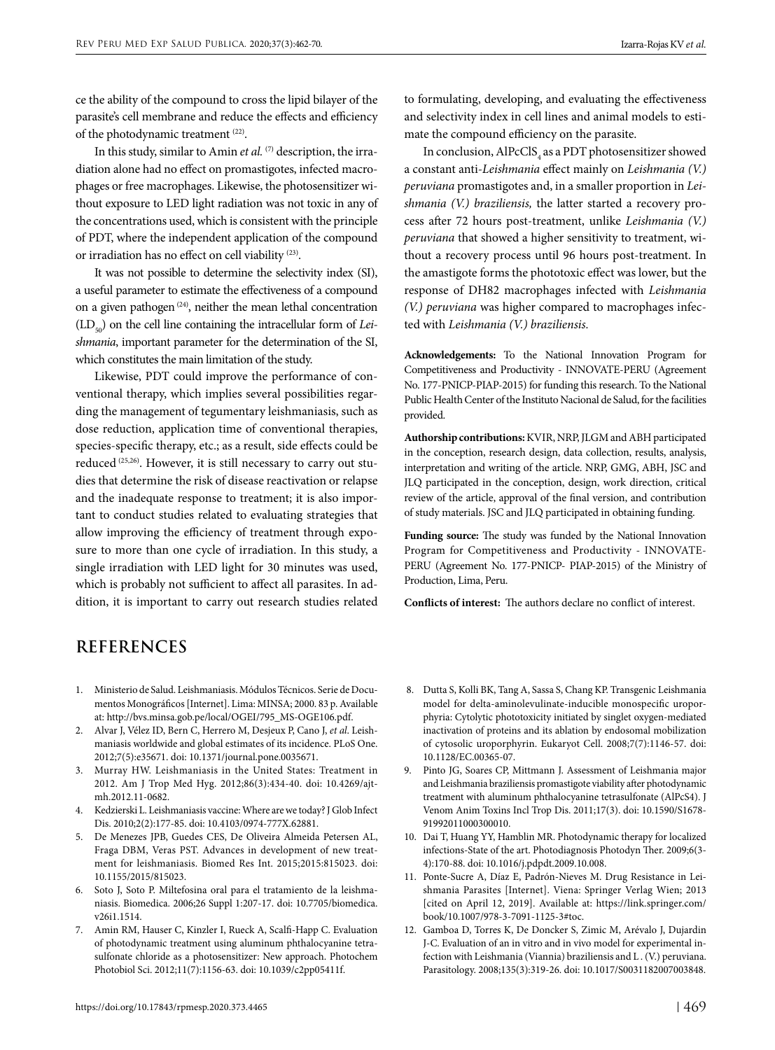ce the ability of the compound to cross the lipid bilayer of the parasite's cell membrane and reduce the effects and efficiency of the photodynamic treatment (22).

In this study, similar to Amin *et al.* <sup>(7)</sup> description, the irradiation alone had no effect on promastigotes, infected macrophages or free macrophages. Likewise, the photosensitizer without exposure to LED light radiation was not toxic in any of the concentrations used, which is consistent with the principle of PDT, where the independent application of the compound or irradiation has no effect on cell viability (23).

It was not possible to determine the selectivity index (SI), a useful parameter to estimate the effectiveness of a compound on a given pathogen  $(24)$ , neither the mean lethal concentration (LD<sub>co</sub>) on the cell line containing the intracellular form of *Leishmania*, important parameter for the determination of the SI, which constitutes the main limitation of the study.

Likewise, PDT could improve the performance of conventional therapy, which implies several possibilities regarding the management of tegumentary leishmaniasis, such as dose reduction, application time of conventional therapies, species-specific therapy, etc.; as a result, side effects could be reduced (25,26). However, it is still necessary to carry out studies that determine the risk of disease reactivation or relapse and the inadequate response to treatment; it is also important to conduct studies related to evaluating strategies that allow improving the efficiency of treatment through exposure to more than one cycle of irradiation. In this study, a single irradiation with LED light for 30 minutes was used, which is probably not sufficient to affect all parasites. In addition, it is important to carry out research studies related

to formulating, developing, and evaluating the effectiveness and selectivity index in cell lines and animal models to estimate the compound efficiency on the parasite.

In conclusion,  $\mathrm{AIPcClS}_4$  as a PDT photosensitizer showed a constant anti*-Leishmania* effect mainly on *Leishmania (V.) peruviana* promastigotes and, in a smaller proportion in *Leishmania (V.) braziliensis,* the latter started a recovery process after 72 hours post-treatment, unlike *Leishmania (V.) peruviana* that showed a higher sensitivity to treatment, without a recovery process until 96 hours post-treatment. In the amastigote forms the phototoxic effect was lower, but the response of DH82 macrophages infected with *Leishmania (V.) peruviana* was higher compared to macrophages infected with *Leishmania (V.) braziliensis.*

**Acknowledgements:** To the National Innovation Program for Competitiveness and Productivity - INNOVATE-PERU (Agreement No. 177-PNICP-PIAP-2015) for funding this research. To the National Public Health Center of the Instituto Nacional de Salud, for the facilities provided.

**Authorship contributions:** KVIR, NRP, JLGM and ABH participated in the conception, research design, data collection, results, analysis, interpretation and writing of the article. NRP, GMG, ABH, JSC and JLQ participated in the conception, design, work direction, critical review of the article, approval of the final version, and contribution of study materials. JSC and JLQ participated in obtaining funding.

**Funding source:** The study was funded by the National Innovation Program for Competitiveness and Productivity - INNOVATE-PERU (Agreement No. 177-PNICP- PIAP-2015) of the Ministry of Production, Lima, Peru.

**Conflicts of interest:** The authors declare no conflict of interest.

## **REFERENCES**

- 1. Ministerio de Salud. Leishmaniasis. Módulos Técnicos. Serie de Documentos Monográficos [Internet]. Lima: MINSA; 2000. 83 p. Available at: [http://bvs.minsa.gob.pe/local/OGEI/795\\_MS-OGE106.pdf](http://bvs.minsa.gob.pe/local/OGEI/795_MS-OGE106.pdf).
- 2. Alvar J, Vélez ID, Bern C, Herrero M, Desjeux P, Cano J, *et al*. Leishmaniasis worldwide and global estimates of its incidence. PLoS One. 2012;7(5):e35671. doi: 10.1371/journal.pone.0035671.
- 3. Murray HW. Leishmaniasis in the United States: Treatment in 2012. Am J Trop Med Hyg. 2012;86(3):434-40. doi: 10.4269/ajtmh.2012.11-0682.
- 4. Kedzierski L. Leishmaniasis vaccine: Where are we today? J Glob Infect Dis. 2010;2(2):177-85. doi: 10.4103/0974-777X.62881.
- 5. De Menezes JPB, Guedes CES, De Oliveira Almeida Petersen AL, Fraga DBM, Veras PST. Advances in development of new treatment for leishmaniasis. Biomed Res Int. 2015;2015:815023. doi: 10.1155/2015/815023.
- 6. Soto J, Soto P. Miltefosina oral para el tratamiento de la leishmaniasis. Biomedica. 2006;26 Suppl 1:207-17. doi: 10.7705/biomedica. v26i1.1514.
- 7. Amin RM, Hauser C, Kinzler I, Rueck A, Scalfi-Happ C. Evaluation of photodynamic treatment using aluminum phthalocyanine tetrasulfonate chloride as a photosensitizer: New approach. Photochem Photobiol Sci. 2012;11(7):1156-63. doi: 10.1039/c2pp05411f.
- 8. Dutta S, Kolli BK, Tang A, Sassa S, Chang KP. Transgenic Leishmania model for delta-aminolevulinate-inducible monospecific uroporphyria: Cytolytic phototoxicity initiated by singlet oxygen-mediated inactivation of proteins and its ablation by endosomal mobilization of cytosolic uroporphyrin. Eukaryot Cell. 2008;7(7):1146-57. doi: 10.1128/EC.00365-07.
- 9. Pinto JG, Soares CP, Mittmann J. Assessment of Leishmania major and Leishmania braziliensis promastigote viability after photodynamic treatment with aluminum phthalocyanine tetrasulfonate (AlPcS4). J Venom Anim Toxins Incl Trop Dis. 2011;17(3). doi: 10.1590/S1678- 91992011000300010.
- 10. Dai T, Huang YY, Hamblin MR. Photodynamic therapy for localized infections-State of the art. Photodiagnosis Photodyn Ther. 2009;6(3- 4):170-88. doi: 10.1016/j.pdpdt.2009.10.008.
- 11. Ponte-Sucre A, Díaz E, Padrón-Nieves M. Drug Resistance in Leishmania Parasites [Internet]. Viena: Springer Verlag Wien; 2013 [cited on April 12, 2019]. Available at: [https://link.springer.com/](https://link.springer.com/ book/10.1007/978-3-7091-1125-3#toc)  [book/10.1007/978-3-7091-1125-3#toc.](https://link.springer.com/ book/10.1007/978-3-7091-1125-3#toc)
- 12. Gamboa D, Torres K, De Doncker S, Zimic M, Arévalo J, Dujardin J-C. Evaluation of an in vitro and in vivo model for experimental infection with Leishmania (Viannia) braziliensis and L . (V.) peruviana. Parasitology. 2008;135(3):319-26. doi: 10.1017/S0031182007003848.